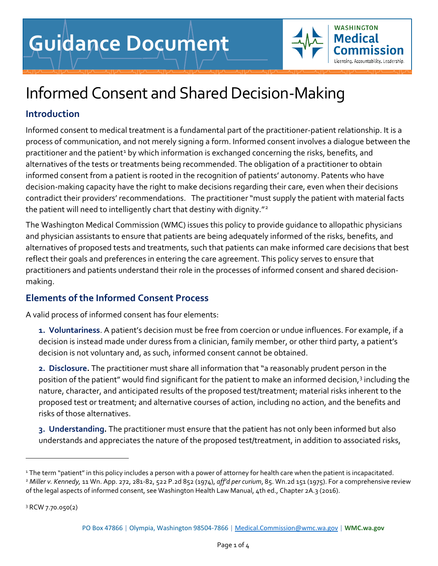

# Informed Consent and Shared Decision-Making

## **Introduction**

Informed consent to medical treatment is a fundamental part of the practitioner-patient relationship. It is a process of communication, and not merely signing a form. Informed consent involves a dialogue between the practitioner and the patient<sup>[1](#page-0-0)</sup> by which information is exchanged concerning the risks, benefits, and alternatives of the tests or treatments being recommended. The obligation of a practitioner to obtain informed consent from a patient is rooted in the recognition of patients' autonomy. Patents who have decision-making capacity have the right to make decisions regarding their care, even when their decisions contradict their providers' recommendations. The practitioner "must supply the patient with material facts the patient will need to intelligently chart that destiny with dignity."<sup>[2](#page-0-1)</sup>

The Washington Medical Commission (WMC) issues this policy to provide guidance to allopathic physicians and physician assistants to ensure that patients are being adequately informed of the risks, benefits, and alternatives of proposed tests and treatments, such that patients can make informed care decisions that best reflect their goals and preferences in entering the care agreement. This policy serves to ensure that practitioners and patients understand their role in the processes of informed consent and shared decisionmaking.

## **Elements of the Informed Consent Process**

A valid process of informed consent has four elements:

**1. Voluntariness**. A patient's decision must be free from coercion or undue influences. For example, if a decision is instead made under duress from a clinician, family member, or other third party, a patient's decision is not voluntary and, as such, informed consent cannot be obtained.

**2. Disclosure.** The practitioner must share all information that "a reasonably prudent person in the position of the patient" would find significant for the patient to make an informed decision,<sup>[3](#page-0-2)</sup> including the nature, character, and anticipated results of the proposed test/treatment; material risks inherent to the proposed test or treatment; and alternative courses of action, including no action, and the benefits and risks of those alternatives.

**3. Understanding.** The practitioner must ensure that the patient has not only been informed but also understands and appreciates the nature of the proposed test/treatment, in addition to associated risks,

<span id="page-0-2"></span><sup>3</sup> RCW 7.70.050(2)

<span id="page-0-1"></span><span id="page-0-0"></span><sup>&</sup>lt;sup>1</sup> The term "patient" in this policy includes a person with a power of attorney for health care when the patient is incapacitated. <sup>2</sup> *Miller v. Kennedy,* 11 Wn. App. 272, 281-82, 522 P.2d 852 (1974), *aff'd per curium*, 85. Wn.2d 151 (1975). For a comprehensive review of the legal aspects of informed consent, see Washington Health Law Manual, 4th ed., Chapter 2A.3 (2016).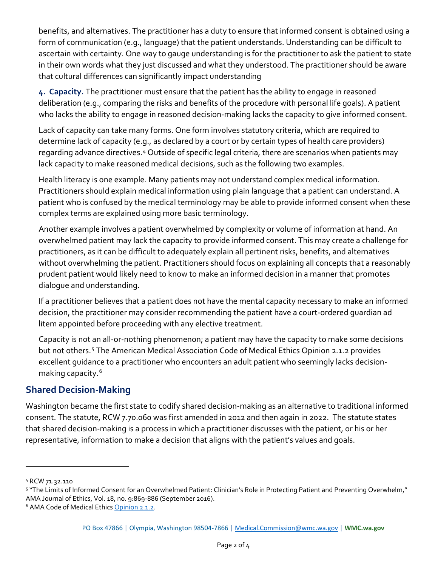benefits, and alternatives. The practitioner has a duty to ensure that informed consent is obtained using a form of communication (e.g., language) that the patient understands. Understanding can be difficult to ascertain with certainty. One way to gauge understanding is for the practitioner to ask the patient to state in their own words what they just discussed and what they understood. The practitioner should be aware that cultural differences can significantly impact understanding

**4. Capacity.** The practitioner must ensure that the patient has the ability to engage in reasoned deliberation (e.g., comparing the risks and benefits of the procedure with personal life goals). A patient who lacks the ability to engage in reasoned decision-making lacks the capacity to give informed consent.

Lack of capacity can take many forms. One form involves statutory criteria, which are required to determine lack of capacity (e.g., as declared by a court or by certain types of health care providers) regarding advance directives.<sup>[4](#page-1-0)</sup> Outside of specific legal criteria, there are scenarios when patients may lack capacity to make reasoned medical decisions, such as the following two examples.

Health literacy is one example. Many patients may not understand complex medical information. Practitioners should explain medical information using plain language that a patient can understand. A patient who is confused by the medical terminology may be able to provide informed consent when these complex terms are explained using more basic terminology.

Another example involves a patient overwhelmed by complexity or volume of information at hand. An overwhelmed patient may lack the capacity to provide informed consent. This may create a challenge for practitioners, as it can be difficult to adequately explain all pertinent risks, benefits, and alternatives without overwhelming the patient. Practitioners should focus on explaining all concepts that a reasonably prudent patient would likely need to know to make an informed decision in a manner that promotes dialogue and understanding.

If a practitioner believes that a patient does not have the mental capacity necessary to make an informed decision, the practitioner may consider recommending the patient have a court-ordered guardian ad litem appointed before proceeding with any elective treatment.

Capacity is not an all-or-nothing phenomenon; a patient may have the capacity to make some decisions but not others.<sup>[5](#page-1-1)</sup> The American Medical Association Code of Medical Ethics Opinion 2.1.2 provides excellent guidance to a practitioner who encounters an adult patient who seemingly lacks decision-making capacity.<sup>[6](#page-1-2)</sup>

#### **Shared Decision-Making**

Washington became the first state to codify shared decision-making as an alternative to traditional informed consent. The statute, RCW 7.70.060 was first amended in 2012 and then again in 2022. The statute states that shared decision-making is a process in which a practitioner discusses with the patient, or his or her representative, information to make a decision that aligns with the patient's values and goals.

<span id="page-1-0"></span><sup>4</sup> RCW 71.32.110

<span id="page-1-1"></span><sup>5</sup> "The Limits of Informed Consent for an Overwhelmed Patient: Clinician's Role in Protecting Patient and Preventing Overwhelm," AMA Journal of Ethics, Vol. 18, no. 9:869-886 (September 2016).

<span id="page-1-2"></span><sup>&</sup>lt;sup>6</sup> AMA Code of Medical Ethics [Opinion 2.1.2.](https://www.ama-assn.org/system/files/2019-06/code-of-medical-ethics-chapter-2.pdf)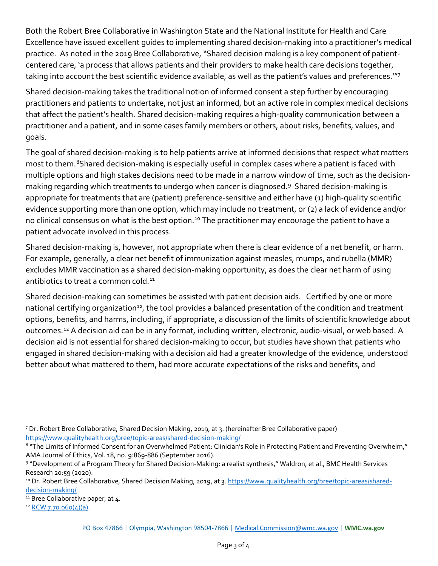Both the Robert Bree Collaborative in Washington State and the National Institute for Health and Care Excellence have issued excellent guides to implementing shared decision-making into a practitioner's medical practice. As noted in the 2019 Bree Collaborative, "Shared decision making is a key component of patientcentered care, 'a process that allows patients and their providers to make health care decisions together, taking into account the best scientific evidence available, as well as the patient's values and preferences.'"[7](#page-2-0)

Shared decision-making takes the traditional notion of informed consent a step further by encouraging practitioners and patients to undertake, not just an informed, but an active role in complex medical decisions that affect the patient's health. Shared decision-making requires a high-quality communication between a practitioner and a patient, and in some cases family members or others, about risks, benefits, values, and goals.

The goal of shared decision-making is to help patients arrive at informed decisions that respect what matters most to them.<sup>8</sup>Shared decision-making is especially useful in complex cases where a patient is faced with multiple options and high stakes decisions need to be made in a narrow window of time, such as the decisionmaking regarding which treatments to undergo when cancer is diagnosed.[9](#page-2-2) Shared decision-making is appropriate for treatments that are (patient) preference-sensitive and either have (1) high-quality scientific evidence supporting more than one option, which may include no treatment, or (2) a lack of evidence and/or no clinical consensus on what is the best option.<sup>[10](#page-2-3)</sup> The practitioner may encourage the patient to have a patient advocate involved in this process.

Shared decision-making is, however, not appropriate when there is clear evidence of a net benefit, or harm. For example, generally, a clear net benefit of immunization against measles, mumps, and rubella (MMR) excludes MMR vaccination as a shared decision-making opportunity, as does the clear net harm of using antibiotics to treat a common cold.<sup>[11](#page-2-4)</sup>

Shared decision-making can sometimes be assisted with patient decision aids. Certified by one or more national certifying organization<sup>12</sup>, the tool provides a balanced presentation of the condition and treatment options, benefits, and harms, including, if appropriate, a discussion of the limits of scientific knowledge about outcomes.[12](#page-2-5) A decision aid can be in any format, including written, electronic, audio-visual, or web based. A decision aid is not essential for shared decision-making to occur, but studies have shown that patients who engaged in shared decision-making with a decision aid had a greater knowledge of the evidence, understood better about what mattered to them, had more accurate expectations of the risks and benefits, and

<span id="page-2-0"></span><sup>7</sup> Dr. Robert Bree Collaborative, Shared Decision Making, 2019, at 3. (hereinafter Bree Collaborative paper) <https://www.qualityhealth.org/bree/topic-areas/shared-decision-making/>

<span id="page-2-1"></span><sup>8 &</sup>quot;The Limits of Informed Consent for an Overwhelmed Patient: Clinician's Role in Protecting Patient and Preventing Overwhelm," AMA Journal of Ethics, Vol. 18, no. 9:869-886 (September 2016).

<span id="page-2-2"></span><sup>9 &</sup>quot;Development of a Program Theory for Shared Decision-Making: a realist synthesis," Waldron, et al., BMC Health Services Research 20:59 (2020).

<span id="page-2-3"></span><sup>10</sup> Dr. Robert Bree Collaborative, Shared Decision Making, 2019, at 3. [https://www.qualityhealth.org/bree/topic-areas/shared](https://www.qualityhealth.org/bree/topic-areas/shared-decision-making/)[decision-making/](https://www.qualityhealth.org/bree/topic-areas/shared-decision-making/)

<span id="page-2-4"></span><sup>&</sup>lt;sup>11</sup> Bree Collaborative paper, at 4.

<span id="page-2-5"></span> $12$  [RCW 7.70.060\(4\)\(a\).](https://app.leg.wa.gov/RCW/default.aspx?cite=7.70.060)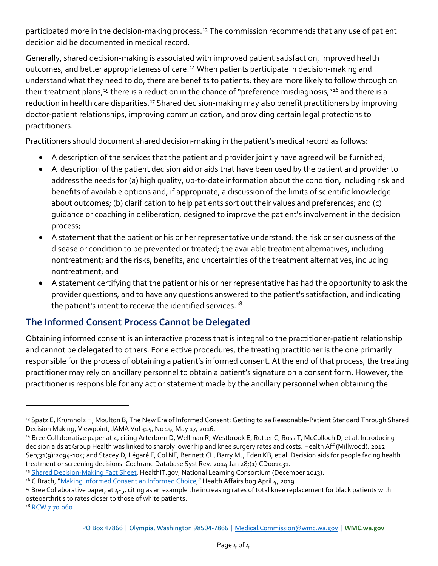participated more in the decision-making process.<sup>[13](#page-3-0)</sup> The commission recommends that any use of patient decision aid be documented in medical record.

Generally, shared decision-making is associated with improved patient satisfaction, improved health outcomes, and better appropriateness of care.<sup>[14](#page-3-1)</sup> When patients participate in decision-making and understand what they need to do, there are benefits to patients: they are more likely to follow through on their treatment plans,<sup>[15](#page-3-2)</sup> there is a reduction in the chance of "preference misdiagnosis,"<sup>[16](#page-3-3)</sup> and there is a reduction in health care disparities.<sup>[17](#page-3-4)</sup> Shared decision-making may also benefit practitioners by improving doctor-patient relationships, improving communication, and providing certain legal protections to practitioners.

Practitioners should document shared decision-making in the patient's medical record as follows:

- A description of the services that the patient and provider jointly have agreed will be furnished;
- A description of the patient decision aid or aids that have been used by the patient and provider to address the needs for (a) high quality, up-to-date information about the condition, including risk and benefits of available options and, if appropriate, a discussion of the limits of scientific knowledge about outcomes; (b) clarification to help patients sort out their values and preferences; and (c) guidance or coaching in deliberation, designed to improve the patient's involvement in the decision process;
- A statement that the patient or his or her representative understand: the risk or seriousness of the disease or condition to be prevented or treated; the available treatment alternatives, including nontreatment; and the risks, benefits, and uncertainties of the treatment alternatives, including nontreatment; and
- A statement certifying that the patient or his or her representative has had the opportunity to ask the provider questions, and to have any questions answered to the patient's satisfaction, and indicating the patient's intent to receive the identified services. $18$

## **The Informed Consent Process Cannot be Delegated**

Obtaining informed consent is an interactive process that is integral to the practitioner-patient relationship and cannot be delegated to others. For elective procedures, the treating practitioner is the one primarily responsible for the process of obtaining a patient's informed consent. At the end of that process, the treating practitioner may rely on ancillary personnel to obtain a patient's signature on a consent form. However, the practitioner is responsible for any act or statement made by the ancillary personnel when obtaining the

<span id="page-3-0"></span><sup>&</sup>lt;sup>13</sup> Spatz E, Krumholz H, Moulton B, The New Era of Informed Consent: Getting to aa Reasonable-Patient Standard Through Shared Decision Making, Viewpoint, JAMA Vol 315, No 19, May 17, 2016.

<span id="page-3-1"></span><sup>&</sup>lt;sup>14</sup> Bree Collaborative paper at 4, citing Arterburn D, Wellman R, Westbrook E, Rutter C, Ross T, McCulloch D, et al. Introducing decision aids at Group Health was linked to sharply lower hip and knee surgery rates and costs. Health Aff (Millwood). 2012 Sep;31(9):2094-104; and Stacey D, Légaré F, Col NF, Bennett CL, Barry MJ, Eden KB, et al. Decision aids for people facing health treatment or screening decisions. Cochrane Database Syst Rev. 2014 Jan 28;(1):CD001431.

<span id="page-3-2"></span><sup>15</sup> [Shared Decision-Making Fact Sheet,](https://www.healthit.gov/sites/default/files/nlc_shared_decision_making_fact_sheet.pdf) HealthIT.gov, National Learning Consortium (December 2013).

<span id="page-3-3"></span><sup>&</sup>lt;sup>16</sup> C Brach, ["Making Informed Consent an Informed Choice,](https://www.healthaffairs.org/do/10.1377/forefront.20190403.965852/full/#:%7E:text=Informed%20choice%20requires%3A,help%20with%20making%20the%20decision.)" Health Affairs bog April 4, 2019.

<span id="page-3-4"></span><sup>&</sup>lt;sup>17</sup> Bree Collaborative paper, at 4-5, citing as an example the increasing rates of total knee replacement for black patients with osteoarthritis to rates closer to those of white patients.

<span id="page-3-5"></span><sup>&</sup>lt;sup>18</sup> [RCW 7.70.060.](https://app.leg.wa.gov/rcw/default.aspx?cite=7.70.060)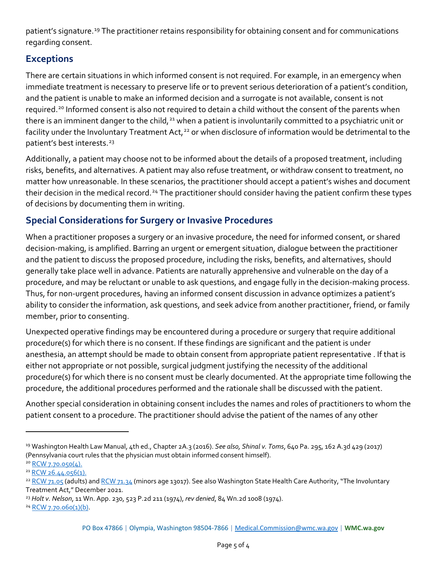patient's signature.<sup>[19](#page-4-0)</sup> The practitioner retains responsibility for obtaining consent and for communications regarding consent.

#### **Exceptions**

There are certain situations in which informed consent is not required. For example, in an emergency when immediate treatment is necessary to preserve life or to prevent serious deterioration of a patient's condition, and the patient is unable to make an informed decision and a surrogate is not available, consent is not required.[20](#page-4-1) Informed consent is also not required to detain a child without the consent of the parents when there is an imminent danger to the child,<sup>[21](#page-4-2)</sup> when a patient is involuntarily committed to a psychiatric unit or facility under the Involuntary Treatment Act,<sup>[22](#page-4-3)</sup> or when disclosure of information would be detrimental to the patient's best interests.<sup>[23](#page-4-4)</sup>

Additionally, a patient may choose not to be informed about the details of a proposed treatment, including risks, benefits, and alternatives. A patient may also refuse treatment, or withdraw consent to treatment, no matter how unreasonable. In these scenarios, the practitioner should accept a patient's wishes and document their decision in the medical record.<sup>[24](#page-4-5)</sup> The practitioner should consider having the patient confirm these types of decisions by documenting them in writing.

#### **Special Considerations for Surgery or Invasive Procedures**

When a practitioner proposes a surgery or an invasive procedure, the need for informed consent, or shared decision-making, is amplified. Barring an urgent or emergent situation, dialogue between the practitioner and the patient to discuss the proposed procedure, including the risks, benefits, and alternatives, should generally take place well in advance. Patients are naturally apprehensive and vulnerable on the day of a procedure, and may be reluctant or unable to ask questions, and engage fully in the decision-making process. Thus, for non-urgent procedures, having an informed consent discussion in advance optimizes a patient's ability to consider the information, ask questions, and seek advice from another practitioner, friend, or family member, prior to consenting.

Unexpected operative findings may be encountered during a procedure or surgery that require additional procedure(s) for which there is no consent. If these findings are significant and the patient is under anesthesia, an attempt should be made to obtain consent from appropriate patient representative . If that is either not appropriate or not possible, surgical judgment justifying the necessity of the additional procedure(s) for which there is no consent must be clearly documented. At the appropriate time following the procedure, the additional procedures performed and the rationale shall be discussed with the patient.

Another special consideration in obtaining consent includes the names and roles of practitioners to whom the patient consent to a procedure. The practitioner should advise the patient of the names of any other

<span id="page-4-0"></span><sup>19</sup> Washington Health Law Manual, 4th ed., Chapter 2A.3 (2016). *See also, Shinal v. Toms*, 640 Pa. 295, 162 A.3d 429 (2017) (Pennsylvania court rules that the physician must obtain informed consent himself).

<span id="page-4-1"></span> $20$  RCW 7.70.050(4).

<span id="page-4-2"></span><sup>21</sup> RCW 26.44.056(1).

<span id="page-4-3"></span> $22$  RCW 71.05 (adults) and RCW 71.34 (minors age 13017). See also Washington State Health Care Authority, "The Involuntary Treatment Act," December 2021.

<span id="page-4-4"></span><sup>23</sup> *Holt v. Nelson*, 11 Wn. App. 230, 523 P.2d 211 (1974), *rev denied*, 84 Wn.2d 1008 (1974).

<span id="page-4-5"></span><sup>24</sup> RCW 7.70.060(1)(b).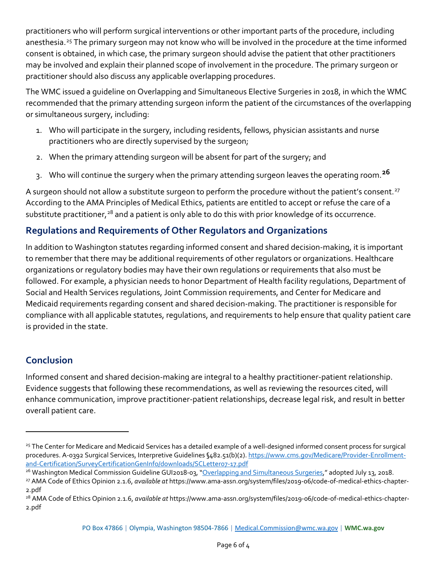practitioners who will perform surgical interventions or other important parts of the procedure, including anesthesia.<sup>[25](#page-5-0)</sup> The primary surgeon may not know who will be involved in the procedure at the time informed consent is obtained, in which case, the primary surgeon should advise the patient that other practitioners may be involved and explain their planned scope of involvement in the procedure. The primary surgeon or practitioner should also discuss any applicable overlapping procedures.

The WMC issued a guideline on Overlapping and Simultaneous Elective Surgeries in 2018, in which the WMC recommended that the primary attending surgeon inform the patient of the circumstances of the overlapping or simultaneous surgery, including:

- 1. Who will participate in the surgery, including residents, fellows, physician assistants and nurse practitioners who are directly supervised by the surgeon;
- 2. When the primary attending surgeon will be absent for part of the surgery; and
- 3. Who will continue the surgery when the primary attending surgeon leaves the operating room.**[26](#page-5-1)**

A surgeon should not allow a substitute surgeon to perform the procedure without the patient's consent.<sup>[27](#page-5-2)</sup> According to the AMA Principles of Medical Ethics, patients are entitled to accept or refuse the care of a substitute practitioner,<sup>[28](#page-5-3)</sup> and a patient is only able to do this with prior knowledge of its occurrence.

## **Regulations and Requirements of Other Regulators and Organizations**

In addition to Washington statutes regarding informed consent and shared decision-making, it is important to remember that there may be additional requirements of other regulators or organizations. Healthcare organizations or regulatory bodies may have their own regulations or requirements that also must be followed. For example, a physician needs to honor Department of Health facility regulations, Department of Social and Health Services regulations, Joint Commission requirements, and Center for Medicare and Medicaid requirements regarding consent and shared decision-making. The practitioner is responsible for compliance with all applicable statutes, regulations, and requirements to help ensure that quality patient care is provided in the state.

## **Conclusion**

Informed consent and shared decision-making are integral to a healthy practitioner-patient relationship. Evidence suggests that following these recommendations, as well as reviewing the resources cited, will enhance communication, improve practitioner-patient relationships, decrease legal risk, and result in better overall patient care.

<span id="page-5-0"></span><sup>&</sup>lt;sup>25</sup> The Center for Medicare and Medicaid Services has a detailed example of a well-designed informed consent process for surgical procedures. A-0392 Surgical Services, Interpretive Guidelines §482.51(b)(2). https://www.cms.gov/Medicare/Provider-Enrollmentand-Certification/SurveyCertificationGenInfo/downloads/SCLetter07-17.pdf

<span id="page-5-1"></span><sup>&</sup>lt;sup>26</sup> Washington Medical Commission Guideline GUI2018-03, "Overlapping and Simultaneous Surgeries," adopted July 13, 2018.

<span id="page-5-2"></span><sup>27</sup> AMA Code of Ethics Opinion 2.1.6, *available at* https://www.ama-assn.org/system/files/2019-06/code-of-medical-ethics-chapter-2.pdf

<span id="page-5-3"></span><sup>28</sup> AMA Code of Ethics Opinion 2.1.6, *available at* https://www.ama-assn.org/system/files/2019-06/code-of-medical-ethics-chapter-2.pdf